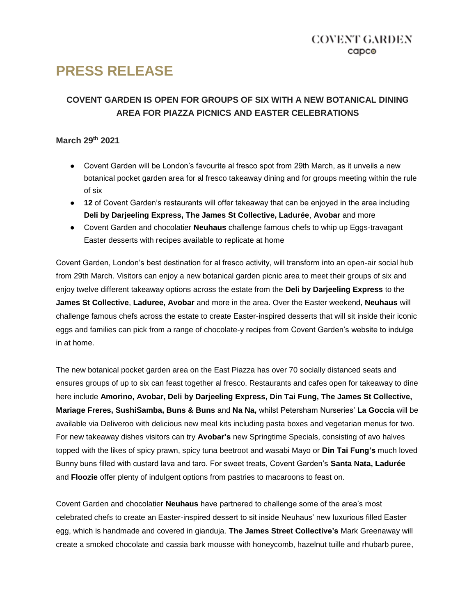# **PRESS RELEASE**

# **COVENT GARDEN IS OPEN FOR GROUPS OF SIX WITH A NEW BOTANICAL DINING AREA FOR PIAZZA PICNICS AND EASTER CELEBRATIONS**

## **March 29th 2021**

- Covent Garden will be London's favourite al fresco spot from 29th March, as it unveils a new botanical pocket garden area for al fresco takeaway dining and for groups meeting within the rule of six
- **12** of Covent Garden's restaurants will offer takeaway that can be enjoyed in the area including **Deli by Darjeeling Express, The James St Collective, Ladurée**, **Avobar** and more
- Covent Garden and chocolatier **Neuhaus** challenge famous chefs to whip up Eggs-travagant Easter desserts with recipes available to replicate at home

Covent Garden, London's best destination for al fresco activity, will transform into an open-air social hub from 29th March. Visitors can enjoy a new botanical garden picnic area to meet their groups of six and enjoy twelve different takeaway options across the estate from the **Deli by Darjeeling Express** to the **James St Collective**, **Laduree, Avobar** and more in the area. Over the Easter weekend, **Neuhaus** will challenge famous chefs across the estate to create Easter-inspired desserts that will sit inside their iconic eggs and families can pick from a range of chocolate-y recipes from Covent Garden's website to indulge in at home.

The new botanical pocket garden area on the East Piazza has over 70 socially distanced seats and ensures groups of up to six can feast together al fresco. Restaurants and cafes open for takeaway to dine here include **Amorino, Avobar, Deli by Darjeeling Express, Din Tai Fung, The James St Collective, Mariage Freres, SushiSamba, Buns & Buns** and **Na Na,** whilst Petersham Nurseries' **La Goccia** will be available via Deliveroo with delicious new meal kits including pasta boxes and vegetarian menus for two. For new takeaway dishes visitors can try **Avobar's** new Springtime Specials, consisting of avo halves topped with the likes of spicy prawn, spicy tuna beetroot and wasabi Mayo or **Din Tai Fung's** much loved Bunny buns filled with custard lava and taro. For sweet treats, Covent Garden's **Santa Nata, Ladurée**  and **Floozie** offer plenty of indulgent options from pastries to macaroons to feast on.

Covent Garden and chocolatier **Neuhaus** have partnered to challenge some of the area's most celebrated chefs to create an Easter-inspired dessert to sit inside Neuhaus' new luxurious filled Easter egg, which is handmade and covered in gianduja. **The James Street Collective's** Mark Greenaway will create a smoked chocolate and cassia bark mousse with honeycomb, hazelnut tuille and rhubarb puree,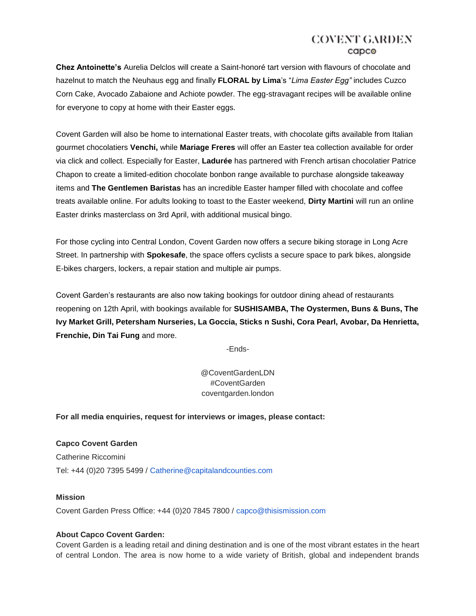## COVENT GARDEN capco

**Chez Antoinette's** Aurelia Delclos will create a Saint-honoré tart version with flavours of chocolate and hazelnut to match the Neuhaus egg and finally **FLORAL by Lima**'s "*Lima Easter Egg"* includes Cuzco Corn Cake, Avocado Zabaione and Achiote powder. The egg-stravagant recipes will be available online for everyone to copy at home with their Easter eggs.

Covent Garden will also be home to international Easter treats, with chocolate gifts available from Italian gourmet chocolatiers **Venchi,** while **Mariage Freres** will offer an Easter tea collection available for order via click and collect. Especially for Easter, **Ladurée** has partnered with French artisan chocolatier Patrice Chapon to create a limited-edition chocolate bonbon range available to purchase alongside takeaway items and **The Gentlemen Baristas** has an incredible Easter hamper filled with chocolate and coffee treats available online. For adults looking to toast to the Easter weekend, **Dirty Martini** will run an online Easter drinks masterclass on 3rd April, with additional musical bingo.

For those cycling into Central London, Covent Garden now offers a secure biking storage in Long Acre Street. In partnership with **Spokesafe**, the space offers cyclists a secure space to park bikes, alongside E-bikes chargers, lockers, a repair station and multiple air pumps.

Covent Garden's restaurants are also now taking bookings for outdoor dining ahead of restaurants reopening on 12th April, with bookings available for **SUSHISAMBA, The Oystermen, Buns & Buns, The Ivy Market Grill, Petersham Nurseries, La Goccia, Sticks n Sushi, Cora Pearl, Avobar, Da Henrietta, Frenchie, Din Tai Fung** and more.

-Ends-

@CoventGardenLDN #CoventGarden coventgarden.london

**For all media enquiries, request for interviews or images, please contact:**

**Capco Covent Garden** Catherine Riccomini Tel: +44 (0)20 7395 5499 / Catherine@capitalandcounties.com

#### **Mission**

Covent Garden Press Office: +44 (0)20 7845 7800 / capco@thisismission.com

### **About Capco Covent Garden:**

Covent Garden is a leading retail and dining destination and is one of the most vibrant estates in the heart of central London. The area is now home to a wide variety of British, global and independent brands